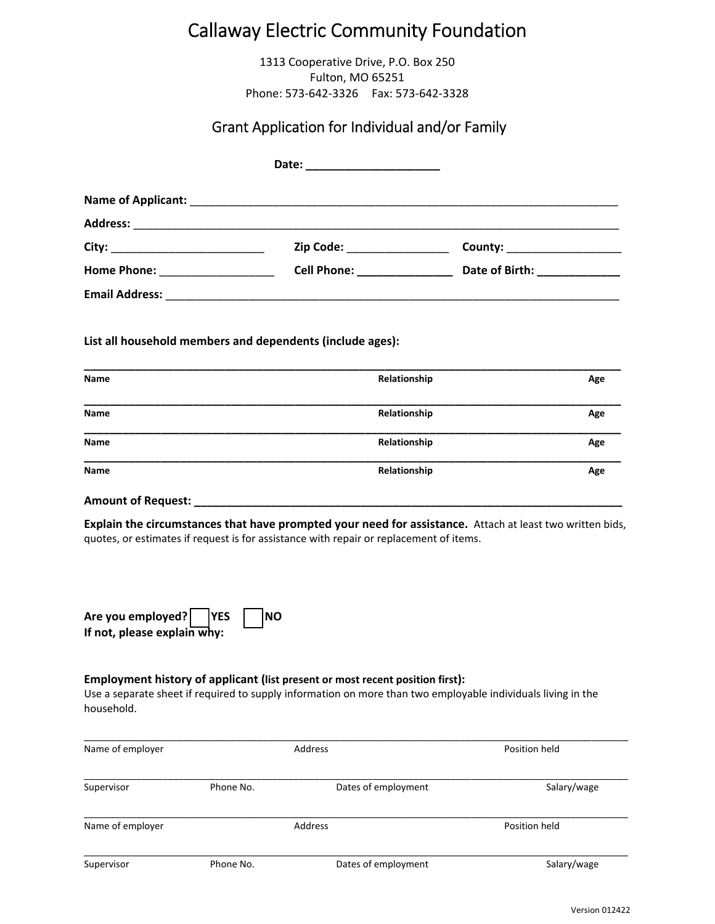# Callaway Electric Community Foundation

1313 Cooperative Drive, P.O. Box 250 Fulton, MO 65251 Phone: 573‐642‐3326 Fax: 573‐642‐3328

### Grant Application for Individual and/or Family

|                                 | Date: ________________________     |                               |
|---------------------------------|------------------------------------|-------------------------------|
|                                 |                                    |                               |
|                                 |                                    |                               |
|                                 | Zip Code: _________________        | County: _____________________ |
| Home Phone: New York Phone 2014 | <b>Cell Phone:</b> _______________ | Date of Birth: _____________  |
|                                 |                                    |                               |

**List all household members and dependents (include ages):**

| Name        | Relationship | Age |
|-------------|--------------|-----|
|             |              |     |
| <b>Name</b> | Relationship | Age |
|             |              |     |
| Name        | Relationship | Age |
|             |              |     |
| Name        | Relationship | Age |
|             |              |     |

**Amount of Request: \_\_\_\_\_\_\_\_\_\_\_\_\_\_\_\_\_\_\_\_\_\_\_\_\_\_\_\_\_\_\_\_\_\_\_\_\_\_\_\_\_\_\_\_\_\_\_\_\_\_\_\_\_\_\_\_\_\_\_\_\_\_\_\_\_\_\_**

**Explain the circumstances that have prompted your need for assistance.** Attach at least two written bids, quotes, or estimates if request is for assistance with repair or replacement of items.

**Are you employed? YES NO If not, please explain why:** 

#### **Employment history of applicant (list present or most recent position first):**

Use a separate sheet if required to supply information on more than two employable individuals living in the household.

| Name of employer |           | Address             | Position held |
|------------------|-----------|---------------------|---------------|
| Supervisor       | Phone No. | Dates of employment | Salary/wage   |
| Name of employer |           | Address             | Position held |
| Supervisor       | Phone No. | Dates of employment | Salary/wage   |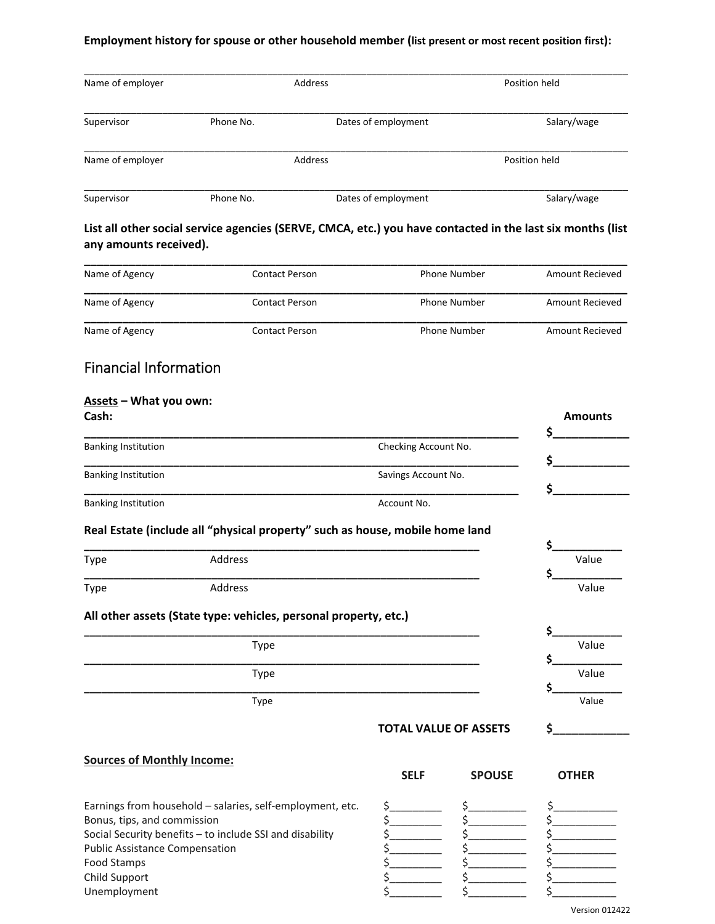#### **Employment history for spouse or other household member (list present or most recent position first):**

| Name of employer |           | Address             | Position held |
|------------------|-----------|---------------------|---------------|
| Supervisor       | Phone No. | Dates of employment | Salary/wage   |
| Name of employer |           | Address             | Position held |
| Supervisor       | Phone No. | Dates of employment | Salary/wage   |

List all other social service agencies (SERVE, CMCA, etc.) you have contacted in the last six months (list **any amounts received).**

| Name of Agency | Contact Person | <b>Phone Number</b> | Amount Recieved |
|----------------|----------------|---------------------|-----------------|
| Name of Agency | Contact Person | <b>Phone Number</b> | Amount Recieved |
| Name of Agency | Contact Person | <b>Phone Number</b> | Amount Recieved |

## Financial Information

### **Assets – What you own:**

| Cash:                             |                                                                                 |                              |               | <b>Amounts</b> |
|-----------------------------------|---------------------------------------------------------------------------------|------------------------------|---------------|----------------|
| <b>Banking Institution</b>        |                                                                                 | Checking Account No.         |               | \$             |
|                                   |                                                                                 |                              |               | \$             |
| <b>Banking Institution</b>        |                                                                                 | Savings Account No.          |               | \$             |
| <b>Banking Institution</b>        |                                                                                 | Account No.                  |               |                |
|                                   | Real Estate (include all "physical property" such as house, mobile home land    |                              |               |                |
|                                   |                                                                                 |                              |               | \$             |
| <b>Type</b>                       | Address                                                                         |                              |               | Value<br>Ś     |
| <b>Type</b>                       | Address                                                                         |                              |               | Value          |
|                                   | All other assets (State type: vehicles, personal property, etc.)<br><b>Type</b> |                              |               | Ś<br>Value     |
|                                   | <b>Type</b>                                                                     |                              |               | Ś<br>Value     |
|                                   | Type                                                                            |                              |               | \$<br>Value    |
|                                   |                                                                                 | <b>TOTAL VALUE OF ASSETS</b> |               | Ś.             |
| <b>Sources of Monthly Income:</b> |                                                                                 |                              |               |                |
|                                   |                                                                                 | <b>SELF</b>                  | <b>SPOUSE</b> | <b>OTHER</b>   |
|                                   | Earnings from household - salaries, self-employment, etc.                       | \$_                          |               |                |
| Bonus, tips, and commission       |                                                                                 | \$                           |               |                |

Social Security benefits – to include SSI and disability  $\begin{array}{ccc} \xi & \xi & \xi \\ \xi & \xi & \xi \end{array}$  Public Assistance Compensation Public Assistance Compensation  $\zeta$ 

Food Stamps  $\begin{matrix} \xi & \xi & \xi \end{matrix}$ 

Child Support  $\begin{matrix} \xi & \xi & \xi \end{matrix}$ 

Unemployment  $\zeta$  ,  $\zeta$  ,  $\zeta$  ,  $\zeta$ 

| Type | Address | Value |
|------|---------|-------|
|      |         |       |
| Type | Address | Value |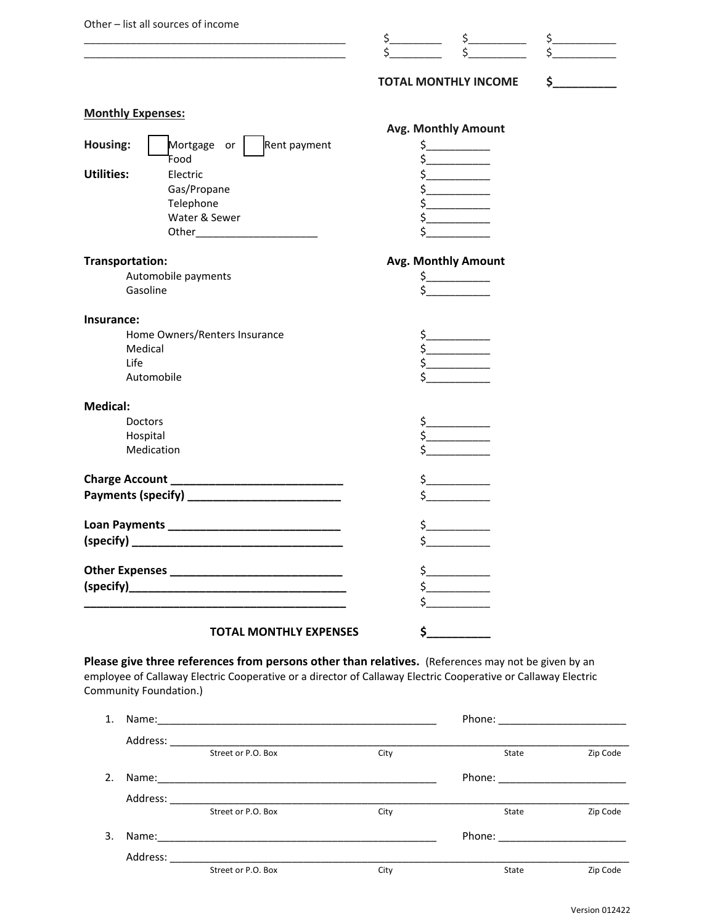|                          | Other - list all sources of income                                                                                     |                                                                                                                                                                                                                                                                                                                                                                                                                                                              |               |
|--------------------------|------------------------------------------------------------------------------------------------------------------------|--------------------------------------------------------------------------------------------------------------------------------------------------------------------------------------------------------------------------------------------------------------------------------------------------------------------------------------------------------------------------------------------------------------------------------------------------------------|---------------|
|                          | <u> 1989 - Johann Stoff, deutscher Stoffen und der Stoffen und der Stoffen und der Stoffen und der Stoffen und der</u> | $\begin{matrix} \frac{5}{5} & \frac{5}{5} & \cdots & \frac{5}{5} & \cdots & \cdots \end{matrix}$                                                                                                                                                                                                                                                                                                                                                             | $\frac{1}{2}$ |
|                          |                                                                                                                        | <b>TOTAL MONTHLY INCOME</b>                                                                                                                                                                                                                                                                                                                                                                                                                                  | $\sim$        |
| <b>Monthly Expenses:</b> |                                                                                                                        |                                                                                                                                                                                                                                                                                                                                                                                                                                                              |               |
|                          |                                                                                                                        | <b>Avg. Monthly Amount</b>                                                                                                                                                                                                                                                                                                                                                                                                                                   |               |
| Housing:                 | Mortgage or   Rent payment                                                                                             | $\frac{1}{2}$                                                                                                                                                                                                                                                                                                                                                                                                                                                |               |
|                          | Food                                                                                                                   | $\frac{1}{2}$                                                                                                                                                                                                                                                                                                                                                                                                                                                |               |
| <b>Utilities:</b>        | Electric                                                                                                               | $\frac{1}{2}$                                                                                                                                                                                                                                                                                                                                                                                                                                                |               |
|                          | Gas/Propane                                                                                                            | \$                                                                                                                                                                                                                                                                                                                                                                                                                                                           |               |
|                          | Telephone                                                                                                              | $\frac{1}{2}$                                                                                                                                                                                                                                                                                                                                                                                                                                                |               |
|                          | Water & Sewer                                                                                                          | $\frac{1}{5}$                                                                                                                                                                                                                                                                                                                                                                                                                                                |               |
|                          |                                                                                                                        |                                                                                                                                                                                                                                                                                                                                                                                                                                                              |               |
| Transportation:          |                                                                                                                        | Avg. Monthly Amount                                                                                                                                                                                                                                                                                                                                                                                                                                          |               |
|                          | Automobile payments                                                                                                    |                                                                                                                                                                                                                                                                                                                                                                                                                                                              |               |
|                          | Gasoline                                                                                                               | $\begin{array}{c}\n5 \qquad \qquad 5 \qquad \qquad 5 \qquad \qquad 5 \qquad \qquad 5 \qquad \qquad 5 \qquad \qquad 5 \qquad \qquad 5 \qquad \qquad 5 \qquad \qquad 5 \qquad \qquad 5 \qquad \qquad 5 \qquad \qquad 5 \qquad \qquad 5 \qquad \qquad 5 \qquad \qquad 5 \qquad \qquad 5 \qquad \qquad 5 \qquad \qquad 5 \qquad \qquad 5 \qquad \qquad 5 \qquad \qquad 5 \qquad \qquad 5 \qquad \qquad 5 \qquad \qquad 5 \qquad \qquad 5 \qquad \qquad 5 \qquad$ |               |
| Insurance:               |                                                                                                                        |                                                                                                                                                                                                                                                                                                                                                                                                                                                              |               |
|                          | Home Owners/Renters Insurance                                                                                          | \$_                                                                                                                                                                                                                                                                                                                                                                                                                                                          |               |
| Medical                  |                                                                                                                        | $\frac{1}{5}$                                                                                                                                                                                                                                                                                                                                                                                                                                                |               |
| Life                     |                                                                                                                        | $\frac{1}{2}$                                                                                                                                                                                                                                                                                                                                                                                                                                                |               |
|                          | Automobile                                                                                                             | \$                                                                                                                                                                                                                                                                                                                                                                                                                                                           |               |
| <b>Medical:</b>          |                                                                                                                        |                                                                                                                                                                                                                                                                                                                                                                                                                                                              |               |
| Doctors                  |                                                                                                                        |                                                                                                                                                                                                                                                                                                                                                                                                                                                              |               |
| Hospital                 |                                                                                                                        |                                                                                                                                                                                                                                                                                                                                                                                                                                                              |               |
|                          | Medication                                                                                                             |                                                                                                                                                                                                                                                                                                                                                                                                                                                              |               |
|                          |                                                                                                                        | $\sharp$ and $\sharp$                                                                                                                                                                                                                                                                                                                                                                                                                                        |               |
|                          |                                                                                                                        | \$                                                                                                                                                                                                                                                                                                                                                                                                                                                           |               |
|                          |                                                                                                                        | $\zeta_-$                                                                                                                                                                                                                                                                                                                                                                                                                                                    |               |
| (specify)                |                                                                                                                        | ς                                                                                                                                                                                                                                                                                                                                                                                                                                                            |               |
|                          |                                                                                                                        | \$                                                                                                                                                                                                                                                                                                                                                                                                                                                           |               |
|                          |                                                                                                                        | $\frac{1}{2}$                                                                                                                                                                                                                                                                                                                                                                                                                                                |               |
|                          |                                                                                                                        | Ś.                                                                                                                                                                                                                                                                                                                                                                                                                                                           |               |
|                          | <b>TOTAL MONTHLY EXPENSES</b>                                                                                          | \$_                                                                                                                                                                                                                                                                                                                                                                                                                                                          |               |
|                          |                                                                                                                        |                                                                                                                                                                                                                                                                                                                                                                                                                                                              |               |

**Please give three references from persons other than relatives.** (References may not be given by an employee of Callaway Electric Cooperative or a director of Callaway Electric Cooperative or Callaway Electric Community Foundation.)

| 1. | Name:    |                    |      | Phone: ___                                              |          |  |
|----|----------|--------------------|------|---------------------------------------------------------|----------|--|
|    | Address: |                    |      |                                                         |          |  |
|    |          | Street or P.O. Box | City | State                                                   | Zip Code |  |
| 2. | Name:    |                    |      | Phone: $\frac{1}{\sqrt{1-\frac{1}{2}}\cdot\frac{1}{2}}$ |          |  |
|    | Address: |                    |      |                                                         |          |  |
|    |          | Street or P.O. Box | City | State                                                   | Zip Code |  |
| 3. | Name:    |                    |      | Phone:                                                  |          |  |
|    | Address: |                    |      |                                                         |          |  |
|    |          | Street or P.O. Box | City | State                                                   | Zip Code |  |
|    |          |                    |      |                                                         |          |  |